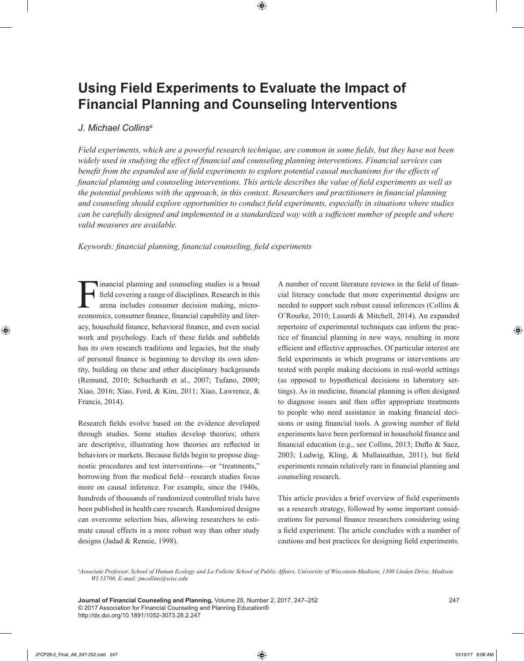# **Using Field Experiments to Evaluate the Impact of Financial Planning and Counseling Interventions**

## *J. Michael Collinsa*

*Field experiments, which are a powerful research technique, are common in some fields, but they have not been widely used in studying the effect of financial and counseling planning interventions. Financial services can benefit from the expanded use of field experiments to explore potential causal mechanisms for the effects of financial planning and counseling interventions. This article describes the value of field experiments as well as the potential problems with the approach, in this context. Researchers and practitioners in financial planning and counseling should explore opportunities to conduct field experiments, especially in situations where studies can be carefully designed and implemented in a standardized way with a sufficient number of people and where valid measures are available.*

*Keywords: financial planning, financial counseling, field experiments*

Financial planning and counseling studies is a broad field covering a range of disciplines. Research in this arena includes consumer decision making, microeconomics, consumer finance, financial capability and literacy, household finance, behavioral finance, and even social work and psychology. Each of these fields and subfields has its own research traditions and legacies, but the study of personal finance is beginning to develop its own identity, building on these and other disciplinary backgrounds (Remund, 2010; Schuchardt et al., 2007; Tufano, 2009; Xiao, 2016; Xiao, Ford, & Kim, 2011; Xiao, Lawrence, & Francis, 2014).

Research fields evolve based on the evidence developed through studies. Some studies develop theories; others are descriptive, illustrating how theories are reflected in behaviors or markets. Because fields begin to propose diagnostic procedures and test interventions—or "treatments," borrowing from the medical field—research studies focus more on causal inference. For example, since the 1940s, hundreds of thousands of randomized controlled trials have been published in health care research. Randomized designs can overcome selection bias, allowing researchers to estimate causal effects in a more robust way than other study designs (Jadad & Rennie, 1998).

A number of recent literature reviews in the field of financial literacy conclude that more experimental designs are needed to support such robust causal inferences (Collins & O'Rourke, 2010; Lusardi & Mitchell, 2014). An expanded repertoire of experimental techniques can inform the practice of financial planning in new ways, resulting in more efficient and effective approaches. Of particular interest are field experiments in which programs or interventions are tested with people making decisions in real-world settings (as opposed to hypothetical decisions in laboratory settings). As in medicine, financial planning is often designed to diagnose issues and then offer appropriate treatments to people who need assistance in making financial decisions or using financial tools. A growing number of field experiments have been performed in household finance and financial education (e.g., see Collins, 2013; Duflo & Saez, 2003; Ludwig, Kling, & Mullainathan, 2011), but field experiments remain relatively rare in financial planning and counseling research.

This article provides a brief overview of field experiments as a research strategy, followed by some important considerations for personal finance researchers considering using a field experiment. The article concludes with a number of cautions and best practices for designing field experiments.

*a Associate Professor, School of Human Ecology and La Follette School of Public Affairs, University of Wisconsin-Madison, 1300 Linden Drive, Madison WI 53706. E-mail: jmcollins@wisc.edu*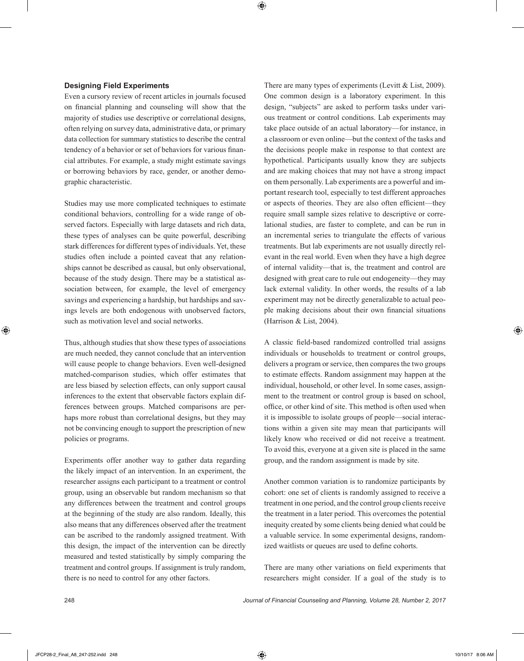### **Designing Field Experiments**

Even a cursory review of recent articles in journals focused on financial planning and counseling will show that the majority of studies use descriptive or correlational designs, often relying on survey data, administrative data, or primary data collection for summary statistics to describe the central tendency of a behavior or set of behaviors for various financial attributes. For example, a study might estimate savings or borrowing behaviors by race, gender, or another demographic characteristic.

Studies may use more complicated techniques to estimate conditional behaviors, controlling for a wide range of observed factors. Especially with large datasets and rich data, these types of analyses can be quite powerful, describing stark differences for different types of individuals. Yet, these studies often include a pointed caveat that any relationships cannot be described as causal, but only observational, because of the study design. There may be a statistical association between, for example, the level of emergency savings and experiencing a hardship, but hardships and savings levels are both endogenous with unobserved factors, such as motivation level and social networks.

Thus, although studies that show these types of associations are much needed, they cannot conclude that an intervention will cause people to change behaviors. Even well-designed matched-comparison studies, which offer estimates that are less biased by selection effects, can only support causal inferences to the extent that observable factors explain differences between groups. Matched comparisons are perhaps more robust than correlational designs, but they may not be convincing enough to support the prescription of new policies or programs.

Experiments offer another way to gather data regarding the likely impact of an intervention. In an experiment, the researcher assigns each participant to a treatment or control group, using an observable but random mechanism so that any differences between the treatment and control groups at the beginning of the study are also random. Ideally, this also means that any differences observed after the treatment can be ascribed to the randomly assigned treatment. With this design, the impact of the intervention can be directly measured and tested statistically by simply comparing the treatment and control groups. If assignment is truly random, there is no need to control for any other factors.

There are many types of experiments (Levitt & List, 2009). One common design is a laboratory experiment. In this design, "subjects" are asked to perform tasks under various treatment or control conditions. Lab experiments may take place outside of an actual laboratory—for instance, in a classroom or even online—but the context of the tasks and the decisions people make in response to that context are hypothetical. Participants usually know they are subjects and are making choices that may not have a strong impact on them personally. Lab experiments are a powerful and important research tool, especially to test different approaches or aspects of theories. They are also often efficient—they require small sample sizes relative to descriptive or correlational studies, are faster to complete, and can be run in an incremental series to triangulate the effects of various treatments. But lab experiments are not usually directly relevant in the real world. Even when they have a high degree of internal validity—that is, the treatment and control are designed with great care to rule out endogeneity—they may lack external validity. In other words, the results of a lab experiment may not be directly generalizable to actual people making decisions about their own financial situations (Harrison & List, 2004).

A classic field-based randomized controlled trial assigns individuals or households to treatment or control groups, delivers a program or service, then compares the two groups to estimate effects. Random assignment may happen at the individual, household, or other level. In some cases, assignment to the treatment or control group is based on school, office, or other kind of site. This method is often used when it is impossible to isolate groups of people—social interactions within a given site may mean that participants will likely know who received or did not receive a treatment. To avoid this, everyone at a given site is placed in the same group, and the random assignment is made by site.

Another common variation is to randomize participants by cohort: one set of clients is randomly assigned to receive a treatment in one period, and the control group clients receive the treatment in a later period. This overcomes the potential inequity created by some clients being denied what could be a valuable service. In some experimental designs, randomized waitlists or queues are used to define cohorts.

There are many other variations on field experiments that researchers might consider. If a goal of the study is to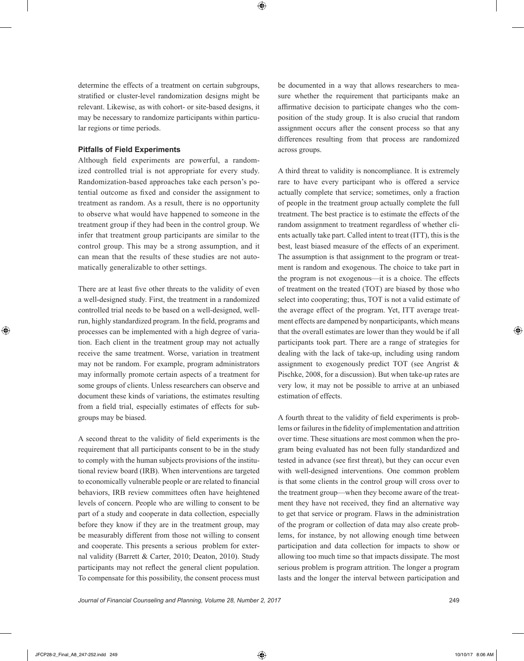determine the effects of a treatment on certain subgroups, stratified or cluster-level randomization designs might be relevant. Likewise, as with cohort- or site-based designs, it may be necessary to randomize participants within particular regions or time periods.

### **Pitfalls of Field Experiments**

Although field experiments are powerful, a randomized controlled trial is not appropriate for every study. Randomization-based approaches take each person's potential outcome as fixed and consider the assignment to treatment as random. As a result, there is no opportunity to observe what would have happened to someone in the treatment group if they had been in the control group. We infer that treatment group participants are similar to the control group. This may be a strong assumption, and it can mean that the results of these studies are not automatically generalizable to other settings.

There are at least five other threats to the validity of even a well-designed study. First, the treatment in a randomized controlled trial needs to be based on a well-designed, wellrun, highly standardized program. In the field, programs and processes can be implemented with a high degree of variation. Each client in the treatment group may not actually receive the same treatment. Worse, variation in treatment may not be random. For example, program administrators may informally promote certain aspects of a treatment for some groups of clients. Unless researchers can observe and document these kinds of variations, the estimates resulting from a field trial, especially estimates of effects for subgroups may be biased.

A second threat to the validity of field experiments is the requirement that all participants consent to be in the study to comply with the human subjects provisions of the institutional review board (IRB). When interventions are targeted to economically vulnerable people or are related to financial behaviors, IRB review committees often have heightened levels of concern. People who are willing to consent to be part of a study and cooperate in data collection, especially before they know if they are in the treatment group, may be measurably different from those not willing to consent and cooperate. This presents a serious problem for external validity (Barrett & Carter, 2010; Deaton, 2010). Study participants may not reflect the general client population. To compensate for this possibility, the consent process must be documented in a way that allows researchers to measure whether the requirement that participants make an affirmative decision to participate changes who the composition of the study group. It is also crucial that random assignment occurs after the consent process so that any differences resulting from that process are randomized across groups.

A third threat to validity is noncompliance. It is extremely rare to have every participant who is offered a service actually complete that service; sometimes, only a fraction of people in the treatment group actually complete the full treatment. The best practice is to estimate the effects of the random assignment to treatment regardless of whether clients actually take part. Called intent to treat (ITT), this is the best, least biased measure of the effects of an experiment. The assumption is that assignment to the program or treatment is random and exogenous. The choice to take part in the program is not exogenous—it is a choice. The effects of treatment on the treated (TOT) are biased by those who select into cooperating; thus, TOT is not a valid estimate of the average effect of the program. Yet, ITT average treatment effects are dampened by nonparticipants, which means that the overall estimates are lower than they would be if all participants took part. There are a range of strategies for dealing with the lack of take-up, including using random assignment to exogenously predict TOT (see Angrist & Pischke, 2008, for a discussion). But when take-up rates are very low, it may not be possible to arrive at an unbiased estimation of effects.

A fourth threat to the validity of field experiments is problems or failures in the fidelity of implementation and attrition over time. These situations are most common when the program being evaluated has not been fully standardized and tested in advance (see first threat), but they can occur even with well-designed interventions. One common problem is that some clients in the control group will cross over to the treatment group—when they become aware of the treatment they have not received, they find an alternative way to get that service or program. Flaws in the administration of the program or collection of data may also create problems, for instance, by not allowing enough time between participation and data collection for impacts to show or allowing too much time so that impacts dissipate. The most serious problem is program attrition. The longer a program lasts and the longer the interval between participation and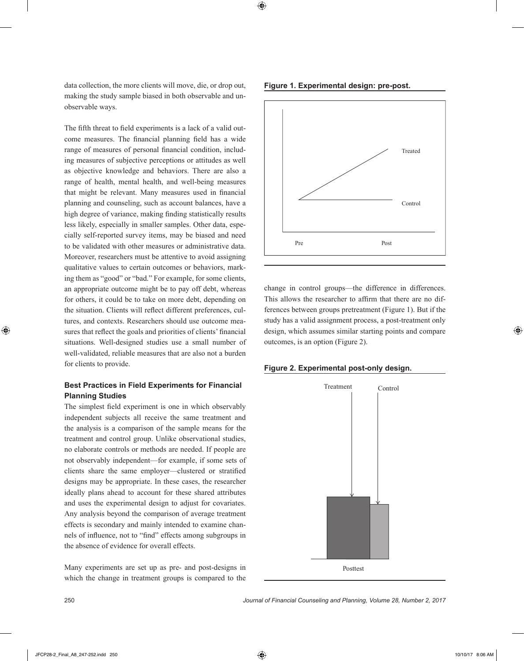data collection, the more clients will move, die, or drop out, making the study sample biased in both observable and unobservable ways.

The fifth threat to field experiments is a lack of a valid outcome measures. The financial planning field has a wide range of measures of personal financial condition, including measures of subjective perceptions or attitudes as well as objective knowledge and behaviors. There are also a range of health, mental health, and well-being measures that might be relevant. Many measures used in financial planning and counseling, such as account balances, have a high degree of variance, making finding statistically results less likely, especially in smaller samples. Other data, especially self-reported survey items, may be biased and need to be validated with other measures or administrative data. Moreover, researchers must be attentive to avoid assigning qualitative values to certain outcomes or behaviors, marking them as "good" or "bad." For example, for some clients, an appropriate outcome might be to pay off debt, whereas for others, it could be to take on more debt, depending on the situation. Clients will reflect different preferences, cultures, and contexts. Researchers should use outcome measures that reflect the goals and priorities of clients' financial situations. Well-designed studies use a small number of well-validated, reliable measures that are also not a burden for clients to provide.

## **Best Practices in Field Experiments for Financial Planning Studies**

The simplest field experiment is one in which observably independent subjects all receive the same treatment and the analysis is a comparison of the sample means for the treatment and control group. Unlike observational studies, no elaborate controls or methods are needed. If people are not observably independent—for example, if some sets of clients share the same employer—clustered or stratified designs may be appropriate. In these cases, the researcher ideally plans ahead to account for these shared attributes and uses the experimental design to adjust for covariates. Any analysis beyond the comparison of average treatment effects is secondary and mainly intended to examine channels of influence, not to "find" effects among subgroups in the absence of evidence for overall effects.

Many experiments are set up as pre- and post-designs in which the change in treatment groups is compared to the

**Figure 1. Experimental design: pre-post.**



change in control groups—the difference in differences. This allows the researcher to affirm that there are no differences between groups pretreatment (Figure 1). But if the study has a valid assignment process, a post-treatment only design, which assumes similar starting points and compare outcomes, is an option (Figure 2).



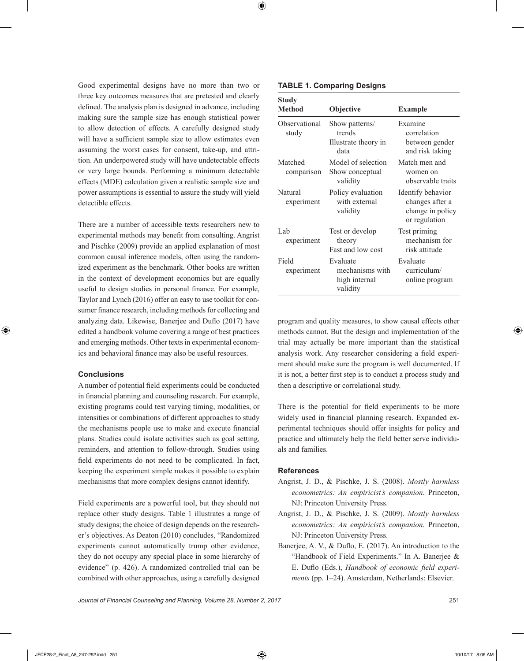Good experimental designs have no more than two or three key outcomes measures that are pretested and clearly defined. The analysis plan is designed in advance, including making sure the sample size has enough statistical power to allow detection of effects. A carefully designed study will have a sufficient sample size to allow estimates even assuming the worst cases for consent, take-up, and attrition. An underpowered study will have undetectable effects or very large bounds. Performing a minimum detectable effects (MDE) calculation given a realistic sample size and power assumptions is essential to assure the study will yield detectible effects.

There are a number of accessible texts researchers new to experimental methods may benefit from consulting. Angrist and Pischke (2009) provide an applied explanation of most common causal inference models, often using the randomized experiment as the benchmark. Other books are written in the context of development economics but are equally useful to design studies in personal finance. For example, Taylor and Lynch (2016) offer an easy to use toolkit for consumer finance research, including methods for collecting and analyzing data. Likewise, Banerjee and Duflo (2017) have edited a handbook volume covering a range of best practices and emerging methods. Other texts in experimental economics and behavioral finance may also be useful resources.

## **Conclusions**

A number of potential field experiments could be conducted in financial planning and counseling research. For example, existing programs could test varying timing, modalities, or intensities or combinations of different approaches to study the mechanisms people use to make and execute financial plans. Studies could isolate activities such as goal setting, reminders, and attention to follow-through. Studies using field experiments do not need to be complicated. In fact, keeping the experiment simple makes it possible to explain mechanisms that more complex designs cannot identify.

Field experiments are a powerful tool, but they should not replace other study designs. Table 1 illustrates a range of study designs; the choice of design depends on the researcher's objectives. As Deaton (2010) concludes, "Randomized experiments cannot automatically trump other evidence, they do not occupy any special place in some hierarchy of evidence" (p. 426). A randomized controlled trial can be combined with other approaches, using a carefully designed

#### **TABLE 1. Comparing Designs**

| Study<br>Method        | Objective                                                | <b>Example</b>                                                            |
|------------------------|----------------------------------------------------------|---------------------------------------------------------------------------|
| Observational<br>study | Show patterns/<br>trends<br>Illustrate theory in<br>data | Examine<br>correlation<br>between gender<br>and risk taking               |
| Matched<br>comparison  | Model of selection<br>Show conceptual<br>validity        | Match men and<br>women on<br>observable traits                            |
| Natural<br>experiment  | Policy evaluation<br>with external<br>validity           | Identify behavior<br>changes after a<br>change in policy<br>or regulation |
| Lab<br>experiment      | Test or develop<br>theory<br>Fast and low cost           | Test priming<br>mechanism for<br>risk attitude                            |
| Field<br>experiment    | Evaluate<br>mechanisms with<br>high internal<br>validity | Evaluate<br>curriculum/<br>online program                                 |

program and quality measures, to show causal effects other methods cannot. But the design and implementation of the trial may actually be more important than the statistical analysis work. Any researcher considering a field experiment should make sure the program is well documented. If it is not, a better first step is to conduct a process study and then a descriptive or correlational study.

There is the potential for field experiments to be more widely used in financial planning research. Expanded experimental techniques should offer insights for policy and practice and ultimately help the field better serve individuals and families.

## **References**

- Angrist, J. D., & Pischke, J. S. (2008). *Mostly harmless econometrics: An empiricist's companion*. Princeton, NJ: Princeton University Press.
- Angrist, J. D., & Pischke, J. S. (2009). *Mostly harmless econometrics: An empiricist's companion*. Princeton, NJ: Princeton University Press.
- Banerjee, A. V., & Duflo, E. (2017). An introduction to the "Handbook of Field Experiments." In A. Banerjee & E. Duflo (Eds.), *Handbook of economic field experiments* (pp. 1–24). Amsterdam, Netherlands: Elsevier.